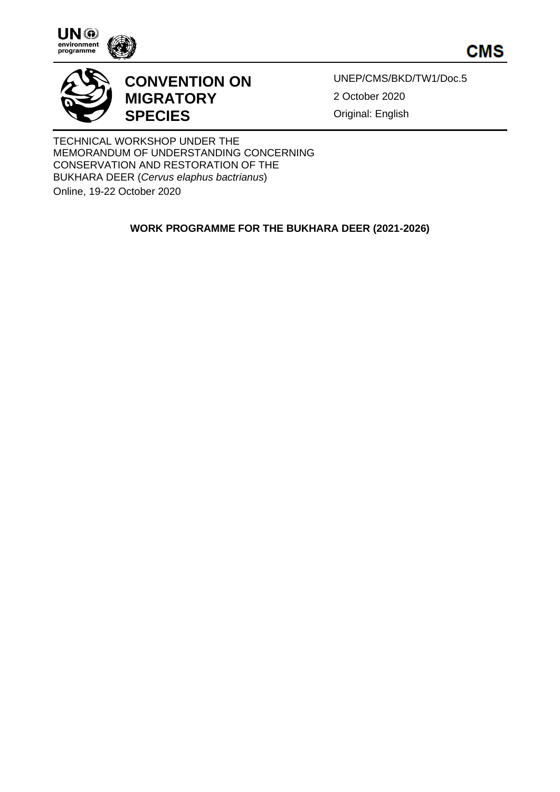





## **CONVENTION ON MIGRATORY SPECIES**

UNEP/CMS/BKD/TW1/Doc.5 2 October 2020 Original: English

TECHNICAL WORKSHOP UNDER THE MEMORANDUM OF UNDERSTANDING CONCERNING CONSERVATION AND RESTORATION OF THE BUKHARA DEER (*Cervus elaphus bactrianus*) Online, 19-22 October 2020

**WORK PROGRAMME FOR THE BUKHARA DEER (2021-2026)**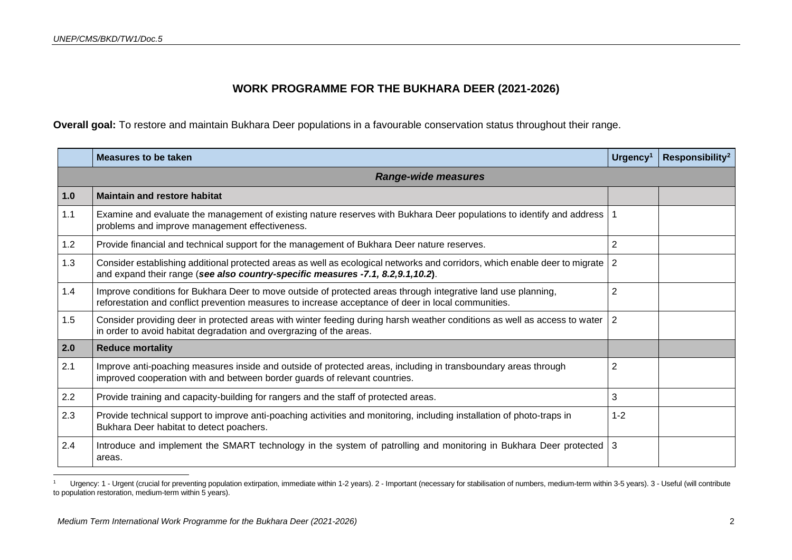## **WORK PROGRAMME FOR THE BUKHARA DEER (2021-2026)**

**Overall goal:** To restore and maintain Bukhara Deer populations in a favourable conservation status throughout their range.

|     | <b>Measures to be taken</b>                                                                                                                                                                                          | Urgency <sup>1</sup> | Responsibility <sup>2</sup> |
|-----|----------------------------------------------------------------------------------------------------------------------------------------------------------------------------------------------------------------------|----------------------|-----------------------------|
|     | <b>Range-wide measures</b>                                                                                                                                                                                           |                      |                             |
| 1.0 | <b>Maintain and restore habitat</b>                                                                                                                                                                                  |                      |                             |
| 1.1 | Examine and evaluate the management of existing nature reserves with Bukhara Deer populations to identify and address   1<br>problems and improve management effectiveness.                                          |                      |                             |
| 1.2 | Provide financial and technical support for the management of Bukhara Deer nature reserves.                                                                                                                          | $\overline{2}$       |                             |
| 1.3 | Consider establishing additional protected areas as well as ecological networks and corridors, which enable deer to migrate<br>and expand their range (see also country-specific measures -7.1, 8.2,9.1,10.2).       | 2                    |                             |
| 1.4 | Improve conditions for Bukhara Deer to move outside of protected areas through integrative land use planning,<br>reforestation and conflict prevention measures to increase acceptance of deer in local communities. | $\overline{2}$       |                             |
| 1.5 | Consider providing deer in protected areas with winter feeding during harsh weather conditions as well as access to water<br>in order to avoid habitat degradation and overgrazing of the areas.                     | 2                    |                             |
| 2.0 | <b>Reduce mortality</b>                                                                                                                                                                                              |                      |                             |
| 2.1 | Improve anti-poaching measures inside and outside of protected areas, including in transboundary areas through<br>improved cooperation with and between border guards of relevant countries.                         | 2                    |                             |
| 2.2 | Provide training and capacity-building for rangers and the staff of protected areas.                                                                                                                                 | 3                    |                             |
| 2.3 | Provide technical support to improve anti-poaching activities and monitoring, including installation of photo-traps in<br>Bukhara Deer habitat to detect poachers.                                                   | $1 - 2$              |                             |
| 2.4 | Introduce and implement the SMART technology in the system of patrolling and monitoring in Bukhara Deer protected<br>areas.                                                                                          | l 3                  |                             |

<sup>&</sup>lt;sup>1</sup> Urgency: 1 - Urgent (crucial for preventing population extirpation, immediate within 1-2 years). 2 - Important (necessary for stabilisation of numbers, medium-term within 3-5 years). 3 - Useful (will contribute to population restoration, medium-term within 5 years).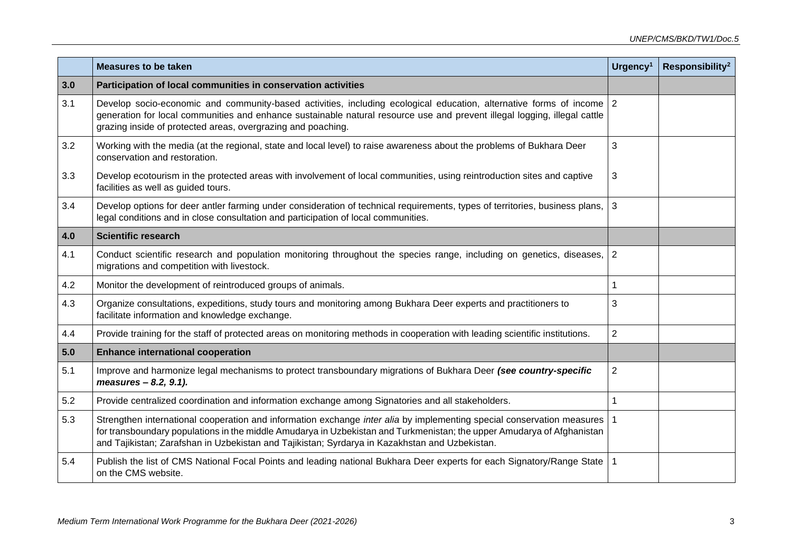|     | <b>Measures to be taken</b>                                                                                                                                                                                                                                                                                                                        | Urgency <sup>1</sup> | Responsibility <sup>2</sup> |
|-----|----------------------------------------------------------------------------------------------------------------------------------------------------------------------------------------------------------------------------------------------------------------------------------------------------------------------------------------------------|----------------------|-----------------------------|
| 3.0 | Participation of local communities in conservation activities                                                                                                                                                                                                                                                                                      |                      |                             |
| 3.1 | Develop socio-economic and community-based activities, including ecological education, alternative forms of income 2<br>generation for local communities and enhance sustainable natural resource use and prevent illegal logging, illegal cattle<br>grazing inside of protected areas, overgrazing and poaching.                                  |                      |                             |
| 3.2 | Working with the media (at the regional, state and local level) to raise awareness about the problems of Bukhara Deer<br>conservation and restoration.                                                                                                                                                                                             | 3                    |                             |
| 3.3 | Develop ecotourism in the protected areas with involvement of local communities, using reintroduction sites and captive<br>facilities as well as guided tours.                                                                                                                                                                                     | 3                    |                             |
| 3.4 | Develop options for deer antler farming under consideration of technical requirements, types of territories, business plans,<br>legal conditions and in close consultation and participation of local communities.                                                                                                                                 | 3                    |                             |
| 4.0 | <b>Scientific research</b>                                                                                                                                                                                                                                                                                                                         |                      |                             |
| 4.1 | Conduct scientific research and population monitoring throughout the species range, including on genetics, diseases,<br>migrations and competition with livestock.                                                                                                                                                                                 | $\overline{2}$       |                             |
| 4.2 | Monitor the development of reintroduced groups of animals.                                                                                                                                                                                                                                                                                         | $\mathbf{1}$         |                             |
| 4.3 | Organize consultations, expeditions, study tours and monitoring among Bukhara Deer experts and practitioners to<br>facilitate information and knowledge exchange.                                                                                                                                                                                  | 3                    |                             |
| 4.4 | Provide training for the staff of protected areas on monitoring methods in cooperation with leading scientific institutions.                                                                                                                                                                                                                       | $\overline{2}$       |                             |
| 5.0 | <b>Enhance international cooperation</b>                                                                                                                                                                                                                                                                                                           |                      |                             |
| 5.1 | Improve and harmonize legal mechanisms to protect transboundary migrations of Bukhara Deer (see country-specific<br>measures - 8.2, 9.1).                                                                                                                                                                                                          | $\overline{2}$       |                             |
| 5.2 | Provide centralized coordination and information exchange among Signatories and all stakeholders.                                                                                                                                                                                                                                                  | 1                    |                             |
| 5.3 | Strengthen international cooperation and information exchange inter alia by implementing special conservation measures<br>for transboundary populations in the middle Amudarya in Uzbekistan and Turkmenistan; the upper Amudarya of Afghanistan<br>and Tajikistan; Zarafshan in Uzbekistan and Tajikistan; Syrdarya in Kazakhstan and Uzbekistan. |                      |                             |
| 5.4 | Publish the list of CMS National Focal Points and leading national Bukhara Deer experts for each Signatory/Range State<br>on the CMS website.                                                                                                                                                                                                      | $\mathbf 1$          |                             |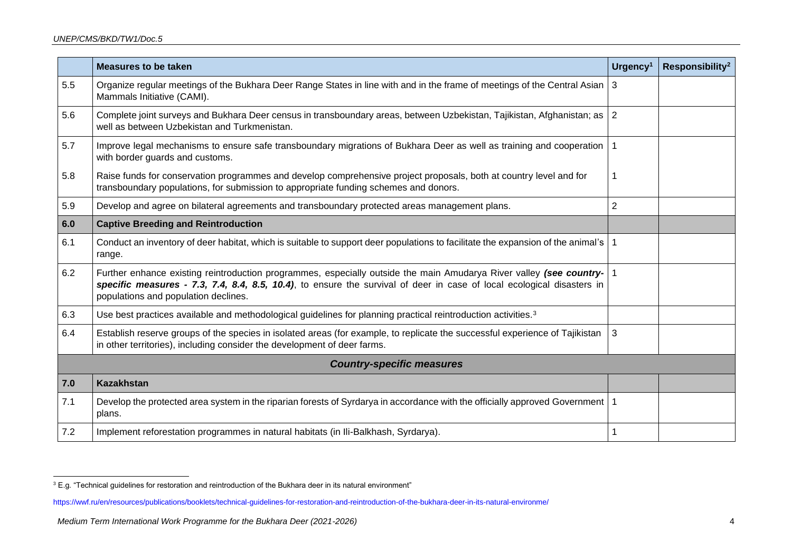|     | Measures to be taken                                                                                                                                                                                                                                                                  | Urgency <sup>1</sup> | Responsibility <sup>2</sup> |  |
|-----|---------------------------------------------------------------------------------------------------------------------------------------------------------------------------------------------------------------------------------------------------------------------------------------|----------------------|-----------------------------|--|
| 5.5 | Organize regular meetings of the Bukhara Deer Range States in line with and in the frame of meetings of the Central Asian<br>Mammals Initiative (CAMI).                                                                                                                               | <b>3</b>             |                             |  |
| 5.6 | Complete joint surveys and Bukhara Deer census in transboundary areas, between Uzbekistan, Tajikistan, Afghanistan; as   2<br>well as between Uzbekistan and Turkmenistan.                                                                                                            |                      |                             |  |
| 5.7 | Improve legal mechanisms to ensure safe transboundary migrations of Bukhara Deer as well as training and cooperation<br>with border guards and customs.                                                                                                                               |                      |                             |  |
| 5.8 | Raise funds for conservation programmes and develop comprehensive project proposals, both at country level and for<br>transboundary populations, for submission to appropriate funding schemes and donors.                                                                            |                      |                             |  |
| 5.9 | Develop and agree on bilateral agreements and transboundary protected areas management plans.                                                                                                                                                                                         | 2                    |                             |  |
| 6.0 | <b>Captive Breeding and Reintroduction</b>                                                                                                                                                                                                                                            |                      |                             |  |
| 6.1 | Conduct an inventory of deer habitat, which is suitable to support deer populations to facilitate the expansion of the animal's<br>range.                                                                                                                                             |                      |                             |  |
| 6.2 | Further enhance existing reintroduction programmes, especially outside the main Amudarya River valley (see country-<br>specific measures - 7.3, 7.4, 8.4, 8.5, 10.4), to ensure the survival of deer in case of local ecological disasters in<br>populations and population declines. |                      |                             |  |
| 6.3 | Use best practices available and methodological guidelines for planning practical reintroduction activities. <sup>3</sup>                                                                                                                                                             |                      |                             |  |
| 6.4 | Establish reserve groups of the species in isolated areas (for example, to replicate the successful experience of Tajikistan<br>in other territories), including consider the development of deer farms.                                                                              | 3                    |                             |  |
|     | <b>Country-specific measures</b>                                                                                                                                                                                                                                                      |                      |                             |  |
| 7.0 | <b>Kazakhstan</b>                                                                                                                                                                                                                                                                     |                      |                             |  |
| 7.1 | Develop the protected area system in the riparian forests of Syrdarya in accordance with the officially approved Government   1<br>plans.                                                                                                                                             |                      |                             |  |
| 7.2 | Implement reforestation programmes in natural habitats (in Ili-Balkhash, Syrdarya).                                                                                                                                                                                                   |                      |                             |  |

<sup>&</sup>lt;sup>3</sup> E.g. "Technical guidelines for restoration and reintroduction of the Bukhara deer in its natural environment"

<https://wwf.ru/en/resources/publications/booklets/technical-guidelines-for-restoration-and-reintroduction-of-the-bukhara-deer-in-its-natural-environme/>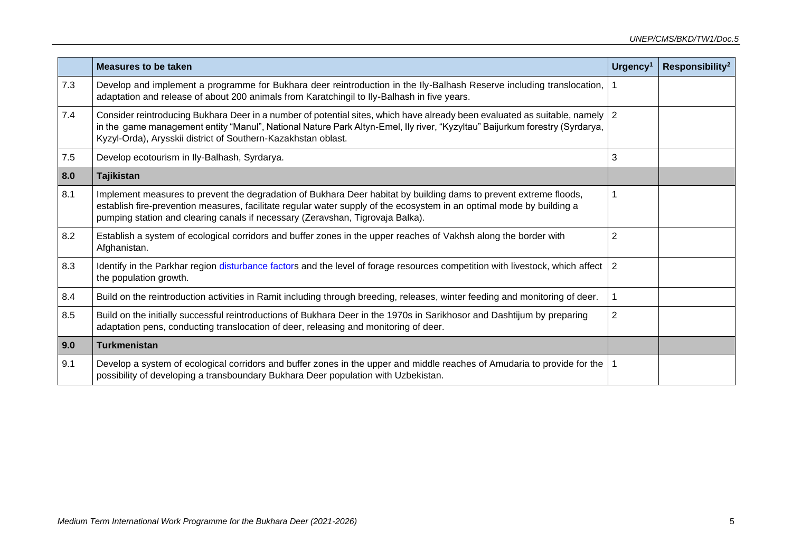|     | <b>Measures to be taken</b>                                                                                                                                                                                                                                                                                                   | Urgency <sup>1</sup> | Responsibility <sup>2</sup> |
|-----|-------------------------------------------------------------------------------------------------------------------------------------------------------------------------------------------------------------------------------------------------------------------------------------------------------------------------------|----------------------|-----------------------------|
| 7.3 | Develop and implement a programme for Bukhara deer reintroduction in the Ily-Balhash Reserve including translocation,<br>adaptation and release of about 200 animals from Karatchingil to Ily-Balhash in five years.                                                                                                          |                      |                             |
| 7.4 | Consider reintroducing Bukhara Deer in a number of potential sites, which have already been evaluated as suitable, namely   2<br>in the game management entity "Manul", National Nature Park Altyn-Emel, Ily river, "Kyzyltau" Baijurkum forestry (Syrdarya,<br>Kyzyl-Orda), Arysskii district of Southern-Kazakhstan oblast. |                      |                             |
| 7.5 | Develop ecotourism in Ily-Balhash, Syrdarya.                                                                                                                                                                                                                                                                                  | 3                    |                             |
| 8.0 | <b>Tajikistan</b>                                                                                                                                                                                                                                                                                                             |                      |                             |
| 8.1 | Implement measures to prevent the degradation of Bukhara Deer habitat by building dams to prevent extreme floods,<br>establish fire-prevention measures, facilitate regular water supply of the ecosystem in an optimal mode by building a<br>pumping station and clearing canals if necessary (Zeravshan, Tigrovaja Balka).  |                      |                             |
| 8.2 | Establish a system of ecological corridors and buffer zones in the upper reaches of Vakhsh along the border with<br>Afghanistan.                                                                                                                                                                                              | 2                    |                             |
| 8.3 | Identify in the Parkhar region disturbance factors and the level of forage resources competition with livestock, which affect<br>the population growth.                                                                                                                                                                       | $\overline{2}$       |                             |
| 8.4 | Build on the reintroduction activities in Ramit including through breeding, releases, winter feeding and monitoring of deer.                                                                                                                                                                                                  |                      |                             |
| 8.5 | Build on the initially successful reintroductions of Bukhara Deer in the 1970s in Sarikhosor and Dashtijum by preparing<br>adaptation pens, conducting translocation of deer, releasing and monitoring of deer.                                                                                                               | $\overline{2}$       |                             |
| 9.0 | <b>Turkmenistan</b>                                                                                                                                                                                                                                                                                                           |                      |                             |
| 9.1 | Develop a system of ecological corridors and buffer zones in the upper and middle reaches of Amudaria to provide for the<br>possibility of developing a transboundary Bukhara Deer population with Uzbekistan.                                                                                                                |                      |                             |